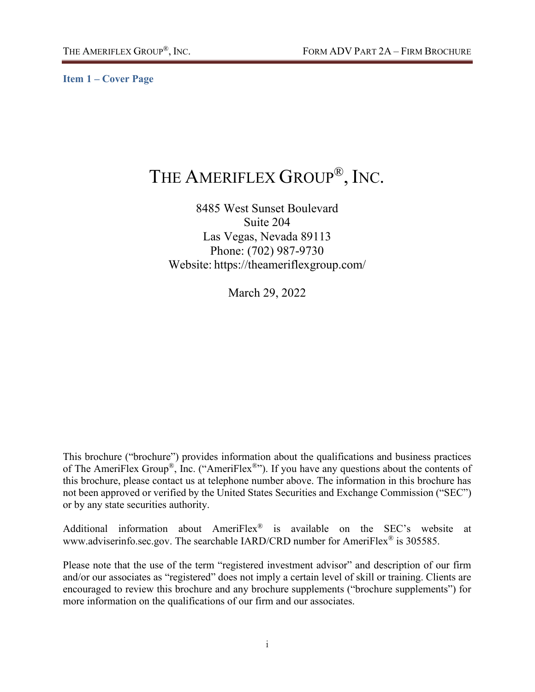<span id="page-0-0"></span>**Item 1 – Cover Page**

# THE AMERIFLEX GROUP®, INC.

8485 West Sunset Boulevard Suite 204 Las Vegas, Nevada 89113 Phone: (702) 987-9730 Website: https://theameriflexgroup.com/

March 29, 2022

This brochure ("brochure") provides information about the qualifications and business practices of The AmeriFlex Group®, Inc. ("AmeriFlex®"). If you have any questions about the contents of this brochure, please contact us at telephone number above. The information in this brochure has not been approved or verified by the United States Securities and Exchange Commission ("SEC") or by any state securities authority.

Additional information about AmeriFlex® is available on the SEC's website at www.adviserinfo.sec.gov. The searchable IARD/CRD number for AmeriFlex<sup>®</sup> is 305585.

Please note that the use of the term "registered investment advisor" and description of our firm and/or our associates as "registered" does not imply a certain level of skill or training. Clients are encouraged to review this brochure and any brochure supplements ("brochure supplements") for more information on the qualifications of our firm and our associates.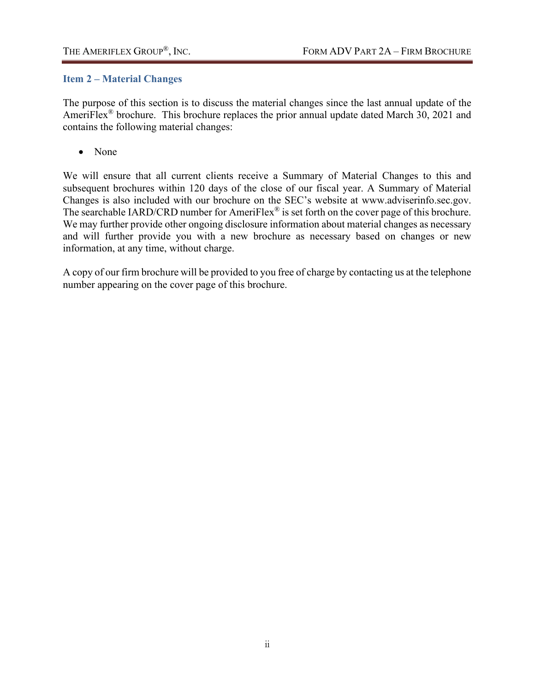## <span id="page-1-0"></span>**Item 2 – Material Changes**

The purpose of this section is to discuss the material changes since the last annual update of the AmeriFlex<sup>®</sup> brochure. This brochure replaces the prior annual update dated March 30, 2021 and contains the following material changes:

• None

We will ensure that all current clients receive a Summary of Material Changes to this and subsequent brochures within 120 days of the close of our fiscal year. A Summary of Material Changes is also included with our brochure on the SEC's website at www.adviserinfo.sec.gov. The searchable IARD/CRD number for AmeriFlex<sup>®</sup> is set forth on the cover page of this brochure. We may further provide other ongoing disclosure information about material changes as necessary and will further provide you with a new brochure as necessary based on changes or new information, at any time, without charge.

A copy of our firm brochure will be provided to you free of charge by contacting us at the telephone number appearing on the cover page of this brochure.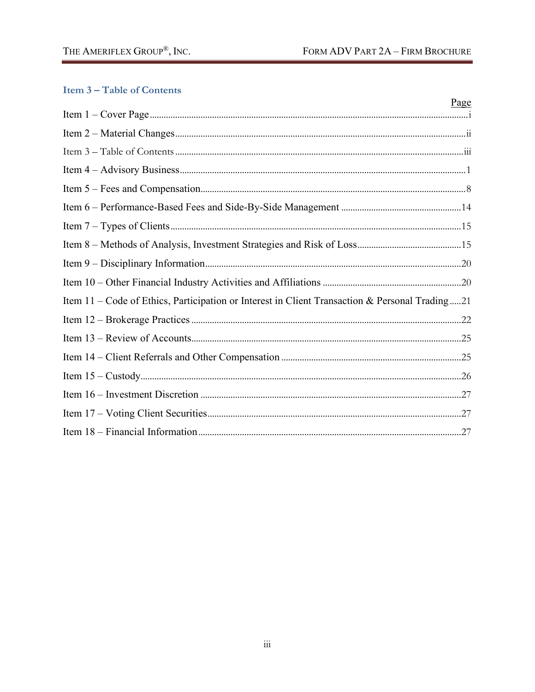# <span id="page-2-0"></span>**Item 3-Table of Contents**

|                                                                                                | Page |
|------------------------------------------------------------------------------------------------|------|
|                                                                                                |      |
|                                                                                                |      |
|                                                                                                |      |
|                                                                                                |      |
|                                                                                                |      |
|                                                                                                |      |
|                                                                                                |      |
|                                                                                                |      |
|                                                                                                |      |
|                                                                                                |      |
| Item 11 - Code of Ethics, Participation or Interest in Client Transaction & Personal Trading21 |      |
|                                                                                                |      |
|                                                                                                |      |
|                                                                                                |      |
|                                                                                                |      |
|                                                                                                |      |
|                                                                                                |      |
|                                                                                                |      |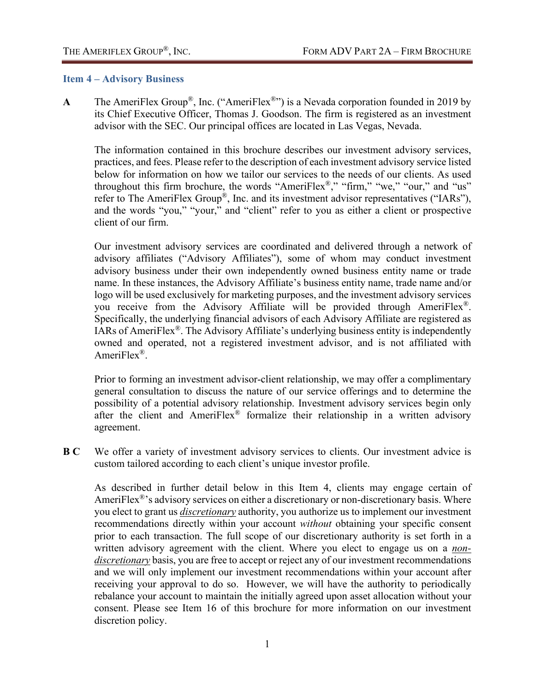#### <span id="page-3-0"></span>**Item 4 – Advisory Business**

**A** The AmeriFlex Group®, Inc. ("AmeriFlex®") is a Nevada corporation founded in 2019 by its Chief Executive Officer, Thomas J. Goodson. The firm is registered as an investment advisor with the SEC. Our principal offices are located in Las Vegas, Nevada.

The information contained in this brochure describes our investment advisory services, practices, and fees. Please refer to the description of each investment advisory service listed below for information on how we tailor our services to the needs of our clients. As used throughout this firm brochure, the words "AmeriFlex®," "firm," "we," "our," and "us" refer to The AmeriFlex Group®, Inc. and its investment advisor representatives ("IARs"), and the words "you," "your," and "client" refer to you as either a client or prospective client of our firm.

Our investment advisory services are coordinated and delivered through a network of advisory affiliates ("Advisory Affiliates"), some of whom may conduct investment advisory business under their own independently owned business entity name or trade name. In these instances, the Advisory Affiliate's business entity name, trade name and/or logo will be used exclusively for marketing purposes, and the investment advisory services you receive from the Advisory Affiliate will be provided through AmeriFlex®. Specifically, the underlying financial advisors of each Advisory Affiliate are registered as IARs of AmeriFlex®. The Advisory Affiliate's underlying business entity is independently owned and operated, not a registered investment advisor, and is not affiliated with AmeriFlex<sup>®</sup>.

Prior to forming an investment advisor-client relationship, we may offer a complimentary general consultation to discuss the nature of our service offerings and to determine the possibility of a potential advisory relationship. Investment advisory services begin only after the client and AmeriFlex® formalize their relationship in a written advisory agreement.

**B C** We offer a variety of investment advisory services to clients. Our investment advice is custom tailored according to each client's unique investor profile.

As described in further detail below in this Item 4, clients may engage certain of AmeriFlex<sup>®</sup>'s advisory services on either a discretionary or non-discretionary basis. Where you elect to grant us *discretionary* authority, you authorize us to implement our investment recommendations directly within your account *without* obtaining your specific consent prior to each transaction. The full scope of our discretionary authority is set forth in a written advisory agreement with the client. Where you elect to engage us on a *nondiscretionary* basis, you are free to accept or reject any of our investment recommendations and we will only implement our investment recommendations within your account after receiving your approval to do so. However, we will have the authority to periodically rebalance your account to maintain the initially agreed upon asset allocation without your consent. Please see Item 16 of this brochure for more information on our investment discretion policy.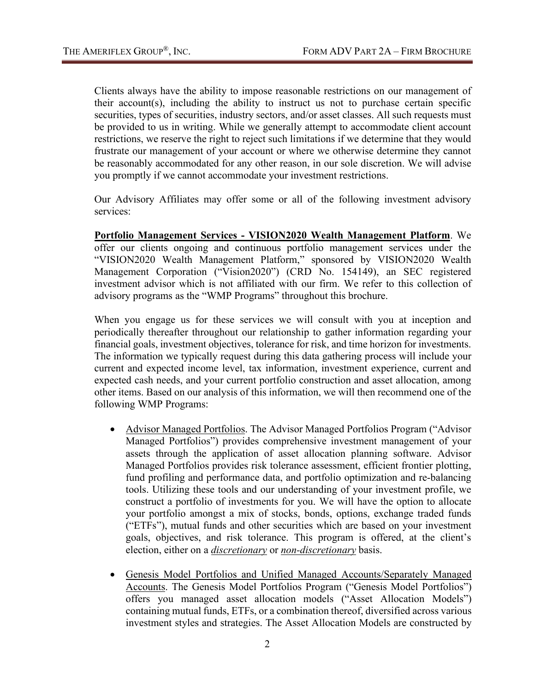Clients always have the ability to impose reasonable restrictions on our management of their account(s), including the ability to instruct us not to purchase certain specific securities, types of securities, industry sectors, and/or asset classes. All such requests must be provided to us in writing. While we generally attempt to accommodate client account restrictions, we reserve the right to reject such limitations if we determine that they would frustrate our management of your account or where we otherwise determine they cannot be reasonably accommodated for any other reason, in our sole discretion. We will advise you promptly if we cannot accommodate your investment restrictions.

Our Advisory Affiliates may offer some or all of the following investment advisory services:

**Portfolio Management Services - VISION2020 Wealth Management Platform**. We offer our clients ongoing and continuous portfolio management services under the "VISION2020 Wealth Management Platform," sponsored by VISION2020 Wealth Management Corporation ("Vision2020") (CRD No. 154149), an SEC registered investment advisor which is not affiliated with our firm. We refer to this collection of advisory programs as the "WMP Programs" throughout this brochure.

When you engage us for these services we will consult with you at inception and periodically thereafter throughout our relationship to gather information regarding your financial goals, investment objectives, tolerance for risk, and time horizon for investments. The information we typically request during this data gathering process will include your current and expected income level, tax information, investment experience, current and expected cash needs, and your current portfolio construction and asset allocation, among other items. Based on our analysis of this information, we will then recommend one of the following WMP Programs:

- Advisor Managed Portfolios. The Advisor Managed Portfolios Program ("Advisor Managed Portfolios") provides comprehensive investment management of your assets through the application of asset allocation planning software. Advisor Managed Portfolios provides risk tolerance assessment, efficient frontier plotting, fund profiling and performance data, and portfolio optimization and re-balancing tools. Utilizing these tools and our understanding of your investment profile, we construct a portfolio of investments for you. We will have the option to allocate your portfolio amongst a mix of stocks, bonds, options, exchange traded funds ("ETFs"), mutual funds and other securities which are based on your investment goals, objectives, and risk tolerance. This program is offered, at the client's election, either on a *discretionary* or *non-discretionary* basis.
- Genesis Model Portfolios and Unified Managed Accounts/Separately Managed Accounts. The Genesis Model Portfolios Program ("Genesis Model Portfolios") offers you managed asset allocation models ("Asset Allocation Models") containing mutual funds, ETFs, or a combination thereof, diversified across various investment styles and strategies. The Asset Allocation Models are constructed by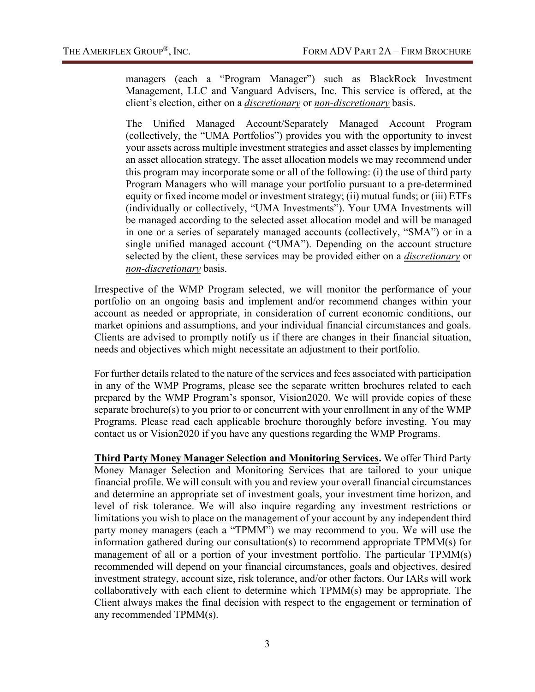managers (each a "Program Manager") such as BlackRock Investment Management, LLC and Vanguard Advisers, Inc. This service is offered, at the client's election, either on a *discretionary* or *non-discretionary* basis.

The Unified Managed Account/Separately Managed Account Program (collectively, the "UMA Portfolios") provides you with the opportunity to invest your assets across multiple investment strategies and asset classes by implementing an asset allocation strategy. The asset allocation models we may recommend under this program may incorporate some or all of the following: (i) the use of third party Program Managers who will manage your portfolio pursuant to a pre-determined equity or fixed income model or investment strategy; (ii) mutual funds; or (iii) ETFs (individually or collectively, "UMA Investments"). Your UMA Investments will be managed according to the selected asset allocation model and will be managed in one or a series of separately managed accounts (collectively, "SMA") or in a single unified managed account ("UMA"). Depending on the account structure selected by the client, these services may be provided either on a *discretionary* or *non-discretionary* basis.

Irrespective of the WMP Program selected, we will monitor the performance of your portfolio on an ongoing basis and implement and/or recommend changes within your account as needed or appropriate, in consideration of current economic conditions, our market opinions and assumptions, and your individual financial circumstances and goals. Clients are advised to promptly notify us if there are changes in their financial situation, needs and objectives which might necessitate an adjustment to their portfolio.

For further details related to the nature of the services and fees associated with participation in any of the WMP Programs, please see the separate written brochures related to each prepared by the WMP Program's sponsor, Vision2020. We will provide copies of these separate brochure(s) to you prior to or concurrent with your enrollment in any of the WMP Programs. Please read each applicable brochure thoroughly before investing. You may contact us or Vision2020 if you have any questions regarding the WMP Programs.

**Third Party Money Manager Selection and Monitoring Services.** We offer Third Party Money Manager Selection and Monitoring Services that are tailored to your unique financial profile. We will consult with you and review your overall financial circumstances and determine an appropriate set of investment goals, your investment time horizon, and level of risk tolerance. We will also inquire regarding any investment restrictions or limitations you wish to place on the management of your account by any independent third party money managers (each a "TPMM") we may recommend to you. We will use the information gathered during our consultation(s) to recommend appropriate TPMM(s) for management of all or a portion of your investment portfolio. The particular TPMM(s) recommended will depend on your financial circumstances, goals and objectives, desired investment strategy, account size, risk tolerance, and/or other factors. Our IARs will work collaboratively with each client to determine which TPMM(s) may be appropriate. The Client always makes the final decision with respect to the engagement or termination of any recommended TPMM(s).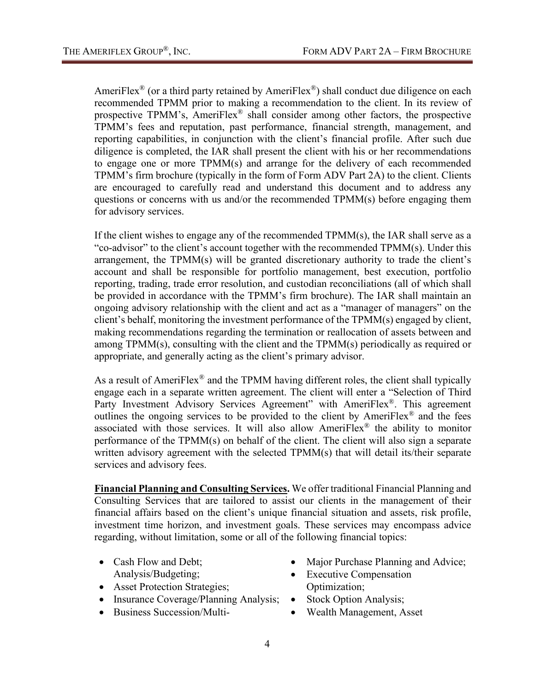AmeriFlex<sup>®</sup> (or a third party retained by AmeriFlex<sup>®</sup>) shall conduct due diligence on each recommended TPMM prior to making a recommendation to the client. In its review of prospective TPMM's, AmeriFlex® shall consider among other factors, the prospective TPMM's fees and reputation, past performance, financial strength, management, and reporting capabilities, in conjunction with the client's financial profile. After such due diligence is completed, the IAR shall present the client with his or her recommendations to engage one or more TPMM(s) and arrange for the delivery of each recommended TPMM's firm brochure (typically in the form of Form ADV Part 2A) to the client. Clients are encouraged to carefully read and understand this document and to address any questions or concerns with us and/or the recommended TPMM(s) before engaging them for advisory services.

If the client wishes to engage any of the recommended TPMM(s), the IAR shall serve as a "co-advisor" to the client's account together with the recommended  $TPMM(s)$ . Under this arrangement, the TPMM(s) will be granted discretionary authority to trade the client's account and shall be responsible for portfolio management, best execution, portfolio reporting, trading, trade error resolution, and custodian reconciliations (all of which shall be provided in accordance with the TPMM's firm brochure). The IAR shall maintain an ongoing advisory relationship with the client and act as a "manager of managers" on the client's behalf, monitoring the investment performance of the TPMM(s) engaged by client, making recommendations regarding the termination or reallocation of assets between and among TPMM(s), consulting with the client and the TPMM(s) periodically as required or appropriate, and generally acting as the client's primary advisor.

As a result of AmeriFlex<sup>®</sup> and the TPMM having different roles, the client shall typically engage each in a separate written agreement. The client will enter a "Selection of Third Party Investment Advisory Services Agreement" with AmeriFlex<sup>®</sup>. This agreement outlines the ongoing services to be provided to the client by AmeriFlex® and the fees associated with those services. It will also allow AmeriFlex® the ability to monitor performance of the TPMM(s) on behalf of the client. The client will also sign a separate written advisory agreement with the selected TPMM(s) that will detail its/their separate services and advisory fees.

**Financial Planning and Consulting Services.** We offer traditional Financial Planning and Consulting Services that are tailored to assist our clients in the management of their financial affairs based on the client's unique financial situation and assets, risk profile, investment time horizon, and investment goals. These services may encompass advice regarding, without limitation, some or all of the following financial topics:

- Cash Flow and Debt; Analysis/Budgeting;
- Asset Protection Strategies;
- Insurance Coverage/Planning Analysis;
- Business Succession/Multi-
- Major Purchase Planning and Advice;
- **Executive Compensation** Optimization;
- Stock Option Analysis;
- Wealth Management, Asset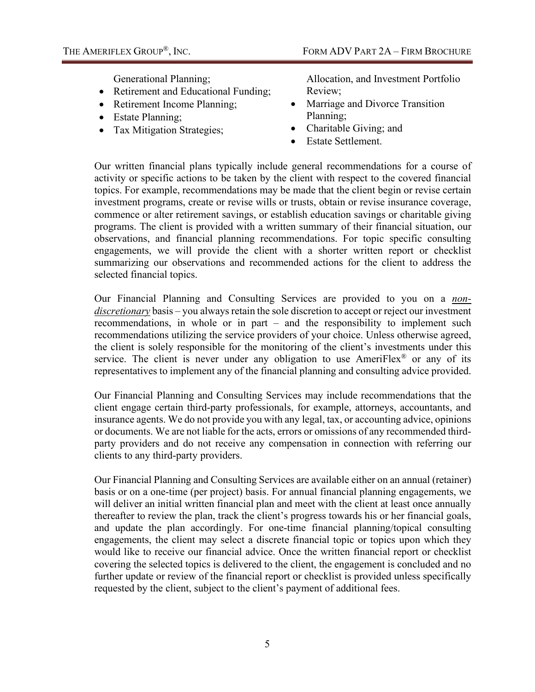Generational Planning;

- Retirement and Educational Funding;
- Retirement Income Planning;
- Estate Planning;
- Tax Mitigation Strategies;

Allocation, and Investment Portfolio Review;

- Marriage and Divorce Transition Planning;
- Charitable Giving; and
- Estate Settlement.

Our written financial plans typically include general recommendations for a course of activity or specific actions to be taken by the client with respect to the covered financial topics. For example, recommendations may be made that the client begin or revise certain investment programs, create or revise wills or trusts, obtain or revise insurance coverage, commence or alter retirement savings, or establish education savings or charitable giving programs. The client is provided with a written summary of their financial situation, our observations, and financial planning recommendations. For topic specific consulting engagements, we will provide the client with a shorter written report or checklist summarizing our observations and recommended actions for the client to address the selected financial topics.

Our Financial Planning and Consulting Services are provided to you on a *nondiscretionary* basis – you always retain the sole discretion to accept or reject our investment recommendations, in whole or in part – and the responsibility to implement such recommendations utilizing the service providers of your choice. Unless otherwise agreed, the client is solely responsible for the monitoring of the client's investments under this service. The client is never under any obligation to use AmeriFlex® or any of its representatives to implement any of the financial planning and consulting advice provided.

Our Financial Planning and Consulting Services may include recommendations that the client engage certain third-party professionals, for example, attorneys, accountants, and insurance agents. We do not provide you with any legal, tax, or accounting advice, opinions or documents. We are not liable for the acts, errors or omissions of any recommended thirdparty providers and do not receive any compensation in connection with referring our clients to any third-party providers.

Our Financial Planning and Consulting Services are available either on an annual (retainer) basis or on a one-time (per project) basis. For annual financial planning engagements, we will deliver an initial written financial plan and meet with the client at least once annually thereafter to review the plan, track the client's progress towards his or her financial goals, and update the plan accordingly. For one-time financial planning/topical consulting engagements, the client may select a discrete financial topic or topics upon which they would like to receive our financial advice. Once the written financial report or checklist covering the selected topics is delivered to the client, the engagement is concluded and no further update or review of the financial report or checklist is provided unless specifically requested by the client, subject to the client's payment of additional fees.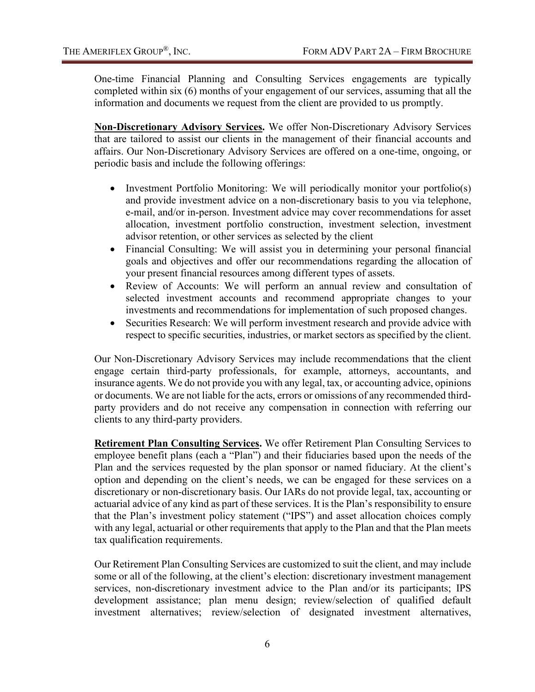One-time Financial Planning and Consulting Services engagements are typically completed within six (6) months of your engagement of our services, assuming that all the information and documents we request from the client are provided to us promptly.

**Non-Discretionary Advisory Services.** We offer Non-Discretionary Advisory Services that are tailored to assist our clients in the management of their financial accounts and affairs. Our Non-Discretionary Advisory Services are offered on a one-time, ongoing, or periodic basis and include the following offerings:

- Investment Portfolio Monitoring: We will periodically monitor your portfolio(s) and provide investment advice on a non-discretionary basis to you via telephone, e-mail, and/or in-person. Investment advice may cover recommendations for asset allocation, investment portfolio construction, investment selection, investment advisor retention, or other services as selected by the client
- Financial Consulting: We will assist you in determining your personal financial goals and objectives and offer our recommendations regarding the allocation of your present financial resources among different types of assets.
- Review of Accounts: We will perform an annual review and consultation of selected investment accounts and recommend appropriate changes to your investments and recommendations for implementation of such proposed changes.
- Securities Research: We will perform investment research and provide advice with respect to specific securities, industries, or market sectors as specified by the client.

Our Non-Discretionary Advisory Services may include recommendations that the client engage certain third-party professionals, for example, attorneys, accountants, and insurance agents. We do not provide you with any legal, tax, or accounting advice, opinions or documents. We are not liable for the acts, errors or omissions of any recommended thirdparty providers and do not receive any compensation in connection with referring our clients to any third-party providers.

**Retirement Plan Consulting Services.** We offer Retirement Plan Consulting Services to employee benefit plans (each a "Plan") and their fiduciaries based upon the needs of the Plan and the services requested by the plan sponsor or named fiduciary. At the client's option and depending on the client's needs, we can be engaged for these services on a discretionary or non-discretionary basis. Our IARs do not provide legal, tax, accounting or actuarial advice of any kind as part of these services. It is the Plan's responsibility to ensure that the Plan's investment policy statement ("IPS") and asset allocation choices comply with any legal, actuarial or other requirements that apply to the Plan and that the Plan meets tax qualification requirements.

Our Retirement Plan Consulting Services are customized to suit the client, and may include some or all of the following, at the client's election: discretionary investment management services, non-discretionary investment advice to the Plan and/or its participants; IPS development assistance; plan menu design; review/selection of qualified default investment alternatives; review/selection of designated investment alternatives,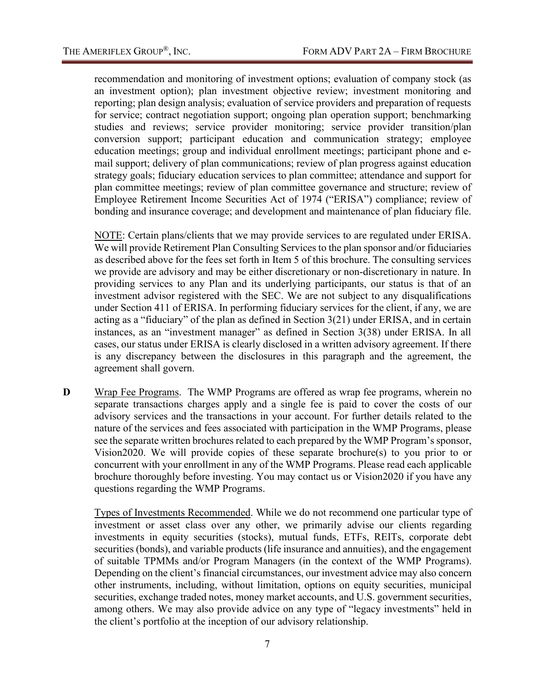recommendation and monitoring of investment options; evaluation of company stock (as an investment option); plan investment objective review; investment monitoring and reporting; plan design analysis; evaluation of service providers and preparation of requests for service; contract negotiation support; ongoing plan operation support; benchmarking studies and reviews; service provider monitoring; service provider transition/plan conversion support; participant education and communication strategy; employee education meetings; group and individual enrollment meetings; participant phone and email support; delivery of plan communications; review of plan progress against education strategy goals; fiduciary education services to plan committee; attendance and support for plan committee meetings; review of plan committee governance and structure; review of Employee Retirement Income Securities Act of 1974 ("ERISA") compliance; review of bonding and insurance coverage; and development and maintenance of plan fiduciary file.

NOTE: Certain plans/clients that we may provide services to are regulated under ERISA. We will provide Retirement Plan Consulting Services to the plan sponsor and/or fiduciaries as described above for the fees set forth in Item 5 of this brochure. The consulting services we provide are advisory and may be either discretionary or non-discretionary in nature. In providing services to any Plan and its underlying participants, our status is that of an investment advisor registered with the SEC. We are not subject to any disqualifications under Section 411 of ERISA. In performing fiduciary services for the client, if any, we are acting as a "fiduciary" of the plan as defined in Section 3(21) under ERISA, and in certain instances, as an "investment manager" as defined in Section 3(38) under ERISA. In all cases, our status under ERISA is clearly disclosed in a written advisory agreement. If there is any discrepancy between the disclosures in this paragraph and the agreement, the agreement shall govern.

**D** Wrap Fee Programs. The WMP Programs are offered as wrap fee programs, wherein no separate transactions charges apply and a single fee is paid to cover the costs of our advisory services and the transactions in your account. For further details related to the nature of the services and fees associated with participation in the WMP Programs, please see the separate written brochures related to each prepared by the WMP Program's sponsor, Vision2020. We will provide copies of these separate brochure(s) to you prior to or concurrent with your enrollment in any of the WMP Programs. Please read each applicable brochure thoroughly before investing. You may contact us or Vision2020 if you have any questions regarding the WMP Programs.

Types of Investments Recommended. While we do not recommend one particular type of investment or asset class over any other, we primarily advise our clients regarding investments in equity securities (stocks), mutual funds, ETFs, REITs, corporate debt securities (bonds), and variable products (life insurance and annuities), and the engagement of suitable TPMMs and/or Program Managers (in the context of the WMP Programs). Depending on the client's financial circumstances, our investment advice may also concern other instruments, including, without limitation, options on equity securities, municipal securities, exchange traded notes, money market accounts, and U.S. government securities, among others. We may also provide advice on any type of "legacy investments" held in the client's portfolio at the inception of our advisory relationship.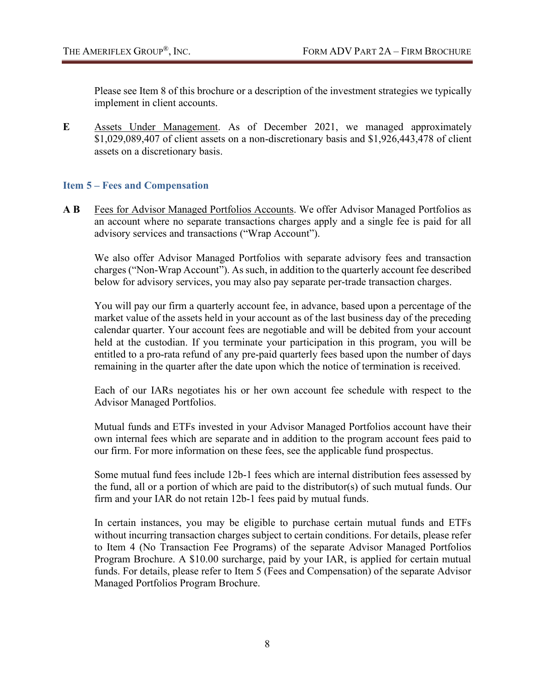Please see Item 8 of this brochure or a description of the investment strategies we typically implement in client accounts.

**E** Assets Under Management. As of December 2021, we managed approximately \$1,029,089,407 of client assets on a non-discretionary basis and \$1,926,443,478 of client assets on a discretionary basis.

## <span id="page-10-0"></span>**Item 5 – Fees and Compensation**

**A B** Fees for Advisor Managed Portfolios Accounts. We offer Advisor Managed Portfolios as an account where no separate transactions charges apply and a single fee is paid for all advisory services and transactions ("Wrap Account").

We also offer Advisor Managed Portfolios with separate advisory fees and transaction charges ("Non-Wrap Account"). As such, in addition to the quarterly account fee described below for advisory services, you may also pay separate per-trade transaction charges.

You will pay our firm a quarterly account fee, in advance, based upon a percentage of the market value of the assets held in your account as of the last business day of the preceding calendar quarter. Your account fees are negotiable and will be debited from your account held at the custodian. If you terminate your participation in this program, you will be entitled to a pro-rata refund of any pre-paid quarterly fees based upon the number of days remaining in the quarter after the date upon which the notice of termination is received.

Each of our IARs negotiates his or her own account fee schedule with respect to the Advisor Managed Portfolios.

Mutual funds and ETFs invested in your Advisor Managed Portfolios account have their own internal fees which are separate and in addition to the program account fees paid to our firm. For more information on these fees, see the applicable fund prospectus.

Some mutual fund fees include 12b-1 fees which are internal distribution fees assessed by the fund, all or a portion of which are paid to the distributor(s) of such mutual funds. Our firm and your IAR do not retain 12b-1 fees paid by mutual funds.

In certain instances, you may be eligible to purchase certain mutual funds and ETFs without incurring transaction charges subject to certain conditions. For details, please refer to Item 4 (No Transaction Fee Programs) of the separate Advisor Managed Portfolios Program Brochure. A \$10.00 surcharge, paid by your IAR, is applied for certain mutual funds. For details, please refer to Item 5 (Fees and Compensation) of the separate Advisor Managed Portfolios Program Brochure.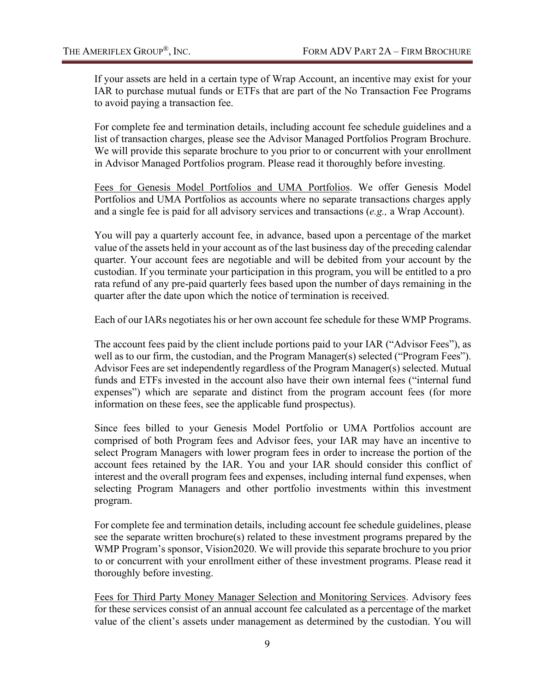If your assets are held in a certain type of Wrap Account, an incentive may exist for your IAR to purchase mutual funds or ETFs that are part of the No Transaction Fee Programs to avoid paying a transaction fee.

For complete fee and termination details, including account fee schedule guidelines and a list of transaction charges, please see the Advisor Managed Portfolios Program Brochure. We will provide this separate brochure to you prior to or concurrent with your enrollment in Advisor Managed Portfolios program. Please read it thoroughly before investing.

Fees for Genesis Model Portfolios and UMA Portfolios. We offer Genesis Model Portfolios and UMA Portfolios as accounts where no separate transactions charges apply and a single fee is paid for all advisory services and transactions (*e.g.,* a Wrap Account).

You will pay a quarterly account fee, in advance, based upon a percentage of the market value of the assets held in your account as of the last business day of the preceding calendar quarter. Your account fees are negotiable and will be debited from your account by the custodian. If you terminate your participation in this program, you will be entitled to a pro rata refund of any pre-paid quarterly fees based upon the number of days remaining in the quarter after the date upon which the notice of termination is received.

Each of our IARs negotiates his or her own account fee schedule for these WMP Programs.

The account fees paid by the client include portions paid to your IAR ("Advisor Fees"), as well as to our firm, the custodian, and the Program Manager(s) selected ("Program Fees"). Advisor Fees are set independently regardless of the Program Manager(s) selected. Mutual funds and ETFs invested in the account also have their own internal fees ("internal fund expenses") which are separate and distinct from the program account fees (for more information on these fees, see the applicable fund prospectus).

Since fees billed to your Genesis Model Portfolio or UMA Portfolios account are comprised of both Program fees and Advisor fees, your IAR may have an incentive to select Program Managers with lower program fees in order to increase the portion of the account fees retained by the IAR. You and your IAR should consider this conflict of interest and the overall program fees and expenses, including internal fund expenses, when selecting Program Managers and other portfolio investments within this investment program.

For complete fee and termination details, including account fee schedule guidelines, please see the separate written brochure(s) related to these investment programs prepared by the WMP Program's sponsor, Vision2020. We will provide this separate brochure to you prior to or concurrent with your enrollment either of these investment programs. Please read it thoroughly before investing.

Fees for Third Party Money Manager Selection and Monitoring Services. Advisory fees for these services consist of an annual account fee calculated as a percentage of the market value of the client's assets under management as determined by the custodian. You will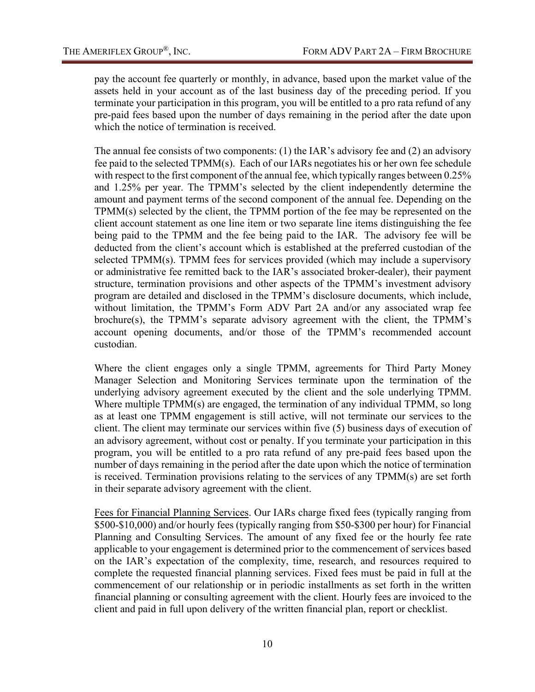pay the account fee quarterly or monthly, in advance, based upon the market value of the assets held in your account as of the last business day of the preceding period. If you terminate your participation in this program, you will be entitled to a pro rata refund of any pre-paid fees based upon the number of days remaining in the period after the date upon which the notice of termination is received.

The annual fee consists of two components: (1) the IAR's advisory fee and (2) an advisory fee paid to the selected TPMM(s). Each of our IARs negotiates his or her own fee schedule with respect to the first component of the annual fee, which typically ranges between 0.25% and 1.25% per year. The TPMM's selected by the client independently determine the amount and payment terms of the second component of the annual fee. Depending on the TPMM(s) selected by the client, the TPMM portion of the fee may be represented on the client account statement as one line item or two separate line items distinguishing the fee being paid to the TPMM and the fee being paid to the IAR. The advisory fee will be deducted from the client's account which is established at the preferred custodian of the selected TPMM(s). TPMM fees for services provided (which may include a supervisory or administrative fee remitted back to the IAR's associated broker-dealer), their payment structure, termination provisions and other aspects of the TPMM's investment advisory program are detailed and disclosed in the TPMM's disclosure documents, which include, without limitation, the TPMM's Form ADV Part 2A and/or any associated wrap fee brochure(s), the TPMM's separate advisory agreement with the client, the TPMM's account opening documents, and/or those of the TPMM's recommended account custodian.

Where the client engages only a single TPMM, agreements for Third Party Money Manager Selection and Monitoring Services terminate upon the termination of the underlying advisory agreement executed by the client and the sole underlying TPMM. Where multiple TPMM(s) are engaged, the termination of any individual TPMM, so long as at least one TPMM engagement is still active, will not terminate our services to the client. The client may terminate our services within five (5) business days of execution of an advisory agreement, without cost or penalty. If you terminate your participation in this program, you will be entitled to a pro rata refund of any pre-paid fees based upon the number of days remaining in the period after the date upon which the notice of termination is received. Termination provisions relating to the services of any TPMM(s) are set forth in their separate advisory agreement with the client.

Fees for Financial Planning Services. Our IARs charge fixed fees (typically ranging from \$500-\$10,000) and/or hourly fees (typically ranging from \$50-\$300 per hour) for Financial Planning and Consulting Services. The amount of any fixed fee or the hourly fee rate applicable to your engagement is determined prior to the commencement of services based on the IAR's expectation of the complexity, time, research, and resources required to complete the requested financial planning services. Fixed fees must be paid in full at the commencement of our relationship or in periodic installments as set forth in the written financial planning or consulting agreement with the client. Hourly fees are invoiced to the client and paid in full upon delivery of the written financial plan, report or checklist.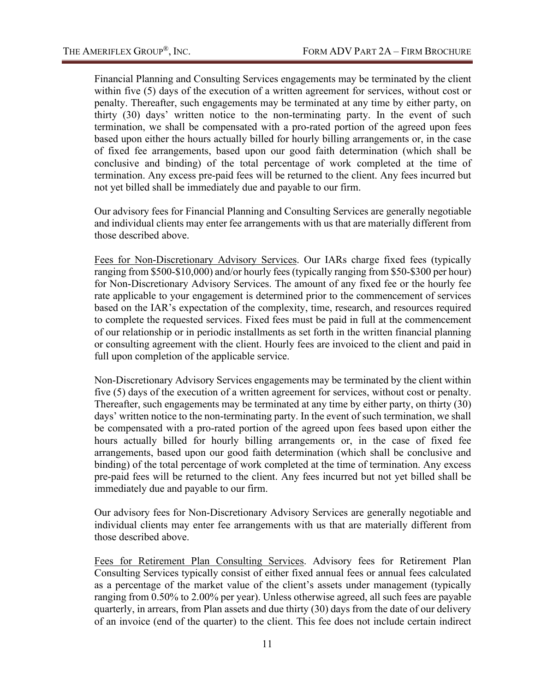Financial Planning and Consulting Services engagements may be terminated by the client within five (5) days of the execution of a written agreement for services, without cost or penalty. Thereafter, such engagements may be terminated at any time by either party, on thirty (30) days' written notice to the non-terminating party. In the event of such termination, we shall be compensated with a pro-rated portion of the agreed upon fees based upon either the hours actually billed for hourly billing arrangements or, in the case of fixed fee arrangements, based upon our good faith determination (which shall be conclusive and binding) of the total percentage of work completed at the time of termination. Any excess pre-paid fees will be returned to the client. Any fees incurred but not yet billed shall be immediately due and payable to our firm.

Our advisory fees for Financial Planning and Consulting Services are generally negotiable and individual clients may enter fee arrangements with us that are materially different from those described above.

Fees for Non-Discretionary Advisory Services. Our IARs charge fixed fees (typically ranging from \$500-\$10,000) and/or hourly fees (typically ranging from \$50-\$300 per hour) for Non-Discretionary Advisory Services. The amount of any fixed fee or the hourly fee rate applicable to your engagement is determined prior to the commencement of services based on the IAR's expectation of the complexity, time, research, and resources required to complete the requested services. Fixed fees must be paid in full at the commencement of our relationship or in periodic installments as set forth in the written financial planning or consulting agreement with the client. Hourly fees are invoiced to the client and paid in full upon completion of the applicable service.

Non-Discretionary Advisory Services engagements may be terminated by the client within five (5) days of the execution of a written agreement for services, without cost or penalty. Thereafter, such engagements may be terminated at any time by either party, on thirty (30) days' written notice to the non-terminating party. In the event of such termination, we shall be compensated with a pro-rated portion of the agreed upon fees based upon either the hours actually billed for hourly billing arrangements or, in the case of fixed fee arrangements, based upon our good faith determination (which shall be conclusive and binding) of the total percentage of work completed at the time of termination. Any excess pre-paid fees will be returned to the client. Any fees incurred but not yet billed shall be immediately due and payable to our firm.

Our advisory fees for Non-Discretionary Advisory Services are generally negotiable and individual clients may enter fee arrangements with us that are materially different from those described above.

Fees for Retirement Plan Consulting Services. Advisory fees for Retirement Plan Consulting Services typically consist of either fixed annual fees or annual fees calculated as a percentage of the market value of the client's assets under management (typically ranging from 0.50% to 2.00% per year). Unless otherwise agreed, all such fees are payable quarterly, in arrears, from Plan assets and due thirty (30) days from the date of our delivery of an invoice (end of the quarter) to the client. This fee does not include certain indirect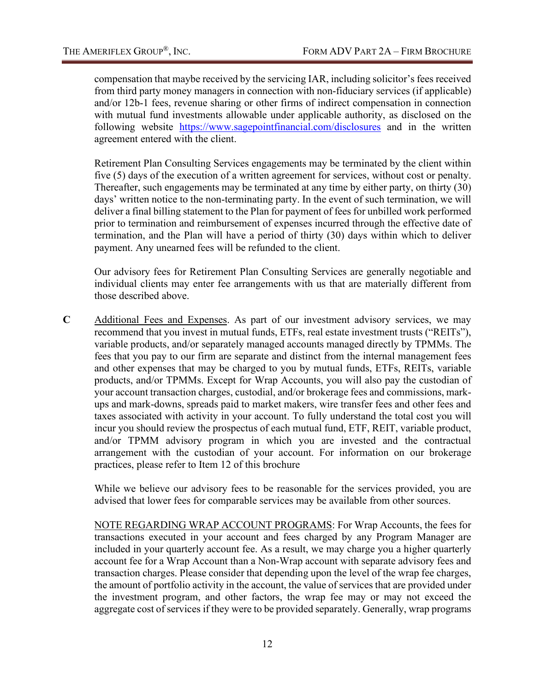compensation that maybe received by the servicing IAR, including solicitor's fees received from third party money managers in connection with non-fiduciary services (if applicable) and/or 12b-1 fees, revenue sharing or other firms of indirect compensation in connection with mutual fund investments allowable under applicable authority, as disclosed on the following website <https://www.sagepointfinancial.com/disclosures> and in the written agreement entered with the client.

Retirement Plan Consulting Services engagements may be terminated by the client within five (5) days of the execution of a written agreement for services, without cost or penalty. Thereafter, such engagements may be terminated at any time by either party, on thirty (30) days' written notice to the non-terminating party. In the event of such termination, we will deliver a final billing statement to the Plan for payment of fees for unbilled work performed prior to termination and reimbursement of expenses incurred through the effective date of termination, and the Plan will have a period of thirty (30) days within which to deliver payment. Any unearned fees will be refunded to the client.

Our advisory fees for Retirement Plan Consulting Services are generally negotiable and individual clients may enter fee arrangements with us that are materially different from those described above.

**C** Additional Fees and Expenses. As part of our investment advisory services, we may recommend that you invest in mutual funds, ETFs, real estate investment trusts ("REITs"), variable products, and/or separately managed accounts managed directly by TPMMs. The fees that you pay to our firm are separate and distinct from the internal management fees and other expenses that may be charged to you by mutual funds, ETFs, REITs, variable products, and/or TPMMs. Except for Wrap Accounts, you will also pay the custodian of your account transaction charges, custodial, and/or brokerage fees and commissions, markups and mark-downs, spreads paid to market makers, wire transfer fees and other fees and taxes associated with activity in your account. To fully understand the total cost you will incur you should review the prospectus of each mutual fund, ETF, REIT, variable product, and/or TPMM advisory program in which you are invested and the contractual arrangement with the custodian of your account. For information on our brokerage practices, please refer to Item 12 of this brochure

While we believe our advisory fees to be reasonable for the services provided, you are advised that lower fees for comparable services may be available from other sources.

NOTE REGARDING WRAP ACCOUNT PROGRAMS: For Wrap Accounts, the fees for transactions executed in your account and fees charged by any Program Manager are included in your quarterly account fee. As a result, we may charge you a higher quarterly account fee for a Wrap Account than a Non-Wrap account with separate advisory fees and transaction charges. Please consider that depending upon the level of the wrap fee charges, the amount of portfolio activity in the account, the value of services that are provided under the investment program, and other factors, the wrap fee may or may not exceed the aggregate cost of services if they were to be provided separately. Generally, wrap programs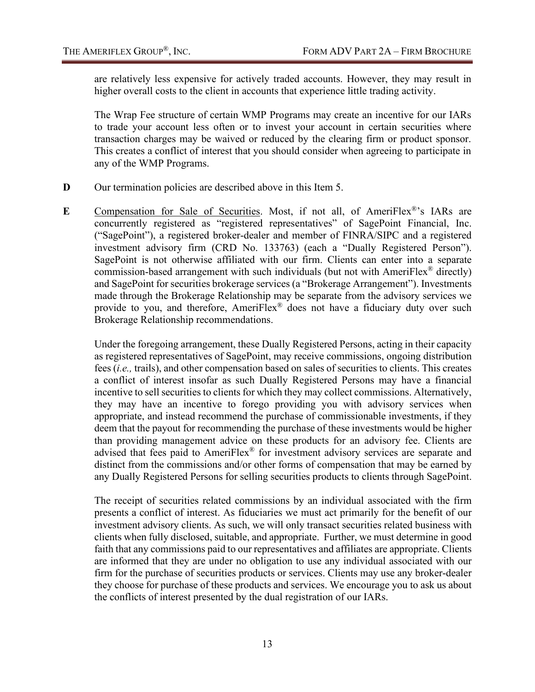are relatively less expensive for actively traded accounts. However, they may result in higher overall costs to the client in accounts that experience little trading activity.

The Wrap Fee structure of certain WMP Programs may create an incentive for our IARs to trade your account less often or to invest your account in certain securities where transaction charges may be waived or reduced by the clearing firm or product sponsor. This creates a conflict of interest that you should consider when agreeing to participate in any of the WMP Programs.

- **D** Our termination policies are described above in this Item 5.
- **E** Compensation for Sale of Securities. Most, if not all, of AmeriFlex®'s IARs are concurrently registered as "registered representatives" of SagePoint Financial, Inc. ("SagePoint"), a registered broker-dealer and member of FINRA/SIPC and a registered investment advisory firm (CRD No. 133763) (each a "Dually Registered Person"). SagePoint is not otherwise affiliated with our firm. Clients can enter into a separate commission-based arrangement with such individuals (but not with AmeriFlex<sup>®</sup> directly) and SagePoint for securities brokerage services (a "Brokerage Arrangement"). Investments made through the Brokerage Relationship may be separate from the advisory services we provide to you, and therefore, AmeriFlex® does not have a fiduciary duty over such Brokerage Relationship recommendations.

Under the foregoing arrangement, these Dually Registered Persons, acting in their capacity as registered representatives of SagePoint, may receive commissions, ongoing distribution fees (*i.e.,* trails), and other compensation based on sales of securities to clients. This creates a conflict of interest insofar as such Dually Registered Persons may have a financial incentive to sell securities to clients for which they may collect commissions. Alternatively, they may have an incentive to forego providing you with advisory services when appropriate, and instead recommend the purchase of commissionable investments, if they deem that the payout for recommending the purchase of these investments would be higher than providing management advice on these products for an advisory fee. Clients are advised that fees paid to AmeriFlex® for investment advisory services are separate and distinct from the commissions and/or other forms of compensation that may be earned by any Dually Registered Persons for selling securities products to clients through SagePoint.

The receipt of securities related commissions by an individual associated with the firm presents a conflict of interest. As fiduciaries we must act primarily for the benefit of our investment advisory clients. As such, we will only transact securities related business with clients when fully disclosed, suitable, and appropriate. Further, we must determine in good faith that any commissions paid to our representatives and affiliates are appropriate. Clients are informed that they are under no obligation to use any individual associated with our firm for the purchase of securities products or services. Clients may use any broker-dealer they choose for purchase of these products and services. We encourage you to ask us about the conflicts of interest presented by the dual registration of our IARs.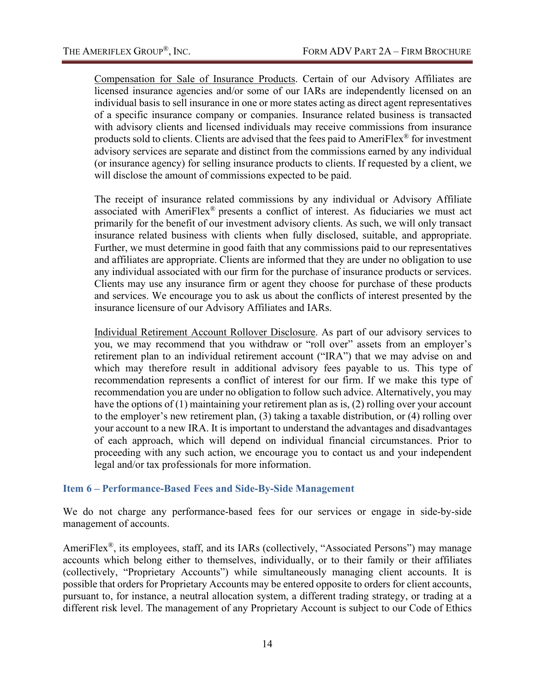Compensation for Sale of Insurance Products. Certain of our Advisory Affiliates are licensed insurance agencies and/or some of our IARs are independently licensed on an individual basis to sell insurance in one or more states acting as direct agent representatives of a specific insurance company or companies. Insurance related business is transacted with advisory clients and licensed individuals may receive commissions from insurance products sold to clients. Clients are advised that the fees paid to AmeriFlex® for investment advisory services are separate and distinct from the commissions earned by any individual (or insurance agency) for selling insurance products to clients. If requested by a client, we will disclose the amount of commissions expected to be paid.

The receipt of insurance related commissions by any individual or Advisory Affiliate associated with AmeriFlex® presents a conflict of interest. As fiduciaries we must act primarily for the benefit of our investment advisory clients. As such, we will only transact insurance related business with clients when fully disclosed, suitable, and appropriate. Further, we must determine in good faith that any commissions paid to our representatives and affiliates are appropriate. Clients are informed that they are under no obligation to use any individual associated with our firm for the purchase of insurance products or services. Clients may use any insurance firm or agent they choose for purchase of these products and services. We encourage you to ask us about the conflicts of interest presented by the insurance licensure of our Advisory Affiliates and IARs.

Individual Retirement Account Rollover Disclosure. As part of our advisory services to you, we may recommend that you withdraw or "roll over" assets from an employer's retirement plan to an individual retirement account ("IRA") that we may advise on and which may therefore result in additional advisory fees payable to us. This type of recommendation represents a conflict of interest for our firm. If we make this type of recommendation you are under no obligation to follow such advice. Alternatively, you may have the options of (1) maintaining your retirement plan as is, (2) rolling over your account to the employer's new retirement plan, (3) taking a taxable distribution, or (4) rolling over your account to a new IRA. It is important to understand the advantages and disadvantages of each approach, which will depend on individual financial circumstances. Prior to proceeding with any such action, we encourage you to contact us and your independent legal and/or tax professionals for more information.

## <span id="page-16-0"></span>**Item 6 – Performance-Based Fees and Side-By-Side Management**

We do not charge any performance-based fees for our services or engage in side-by-side management of accounts.

AmeriFlex®, its employees, staff, and its IARs (collectively, "Associated Persons") may manage accounts which belong either to themselves, individually, or to their family or their affiliates (collectively, "Proprietary Accounts") while simultaneously managing client accounts. It is possible that orders for Proprietary Accounts may be entered opposite to orders for client accounts, pursuant to, for instance, a neutral allocation system, a different trading strategy, or trading at a different risk level. The management of any Proprietary Account is subject to our Code of Ethics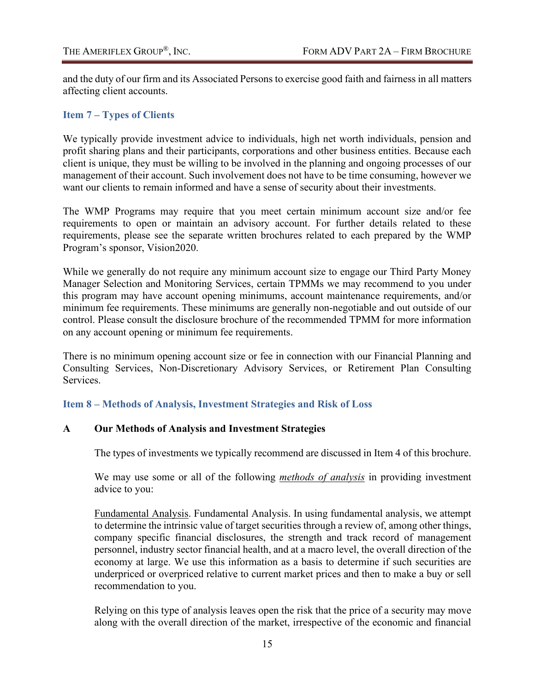and the duty of our firm and its Associated Persons to exercise good faith and fairness in all matters affecting client accounts.

## <span id="page-17-0"></span>**Item 7 – Types of Clients**

We typically provide investment advice to individuals, high net worth individuals, pension and profit sharing plans and their participants, corporations and other business entities. Because each client is unique, they must be willing to be involved in the planning and ongoing processes of our management of their account. Such involvement does not have to be time consuming, however we want our clients to remain informed and have a sense of security about their investments.

The WMP Programs may require that you meet certain minimum account size and/or fee requirements to open or maintain an advisory account. For further details related to these requirements, please see the separate written brochures related to each prepared by the WMP Program's sponsor, Vision2020.

While we generally do not require any minimum account size to engage our Third Party Money Manager Selection and Monitoring Services, certain TPMMs we may recommend to you under this program may have account opening minimums, account maintenance requirements, and/or minimum fee requirements. These minimums are generally non-negotiable and out outside of our control. Please consult the disclosure brochure of the recommended TPMM for more information on any account opening or minimum fee requirements.

There is no minimum opening account size or fee in connection with our Financial Planning and Consulting Services, Non-Discretionary Advisory Services, or Retirement Plan Consulting Services.

## <span id="page-17-1"></span>**Item 8 – Methods of Analysis, Investment Strategies and Risk of Loss**

## **A Our Methods of Analysis and Investment Strategies**

The types of investments we typically recommend are discussed in Item 4 of this brochure.

We may use some or all of the following *methods of analysis* in providing investment advice to you:

Fundamental Analysis. Fundamental Analysis. In using fundamental analysis, we attempt to determine the intrinsic value of target securities through a review of, among other things, company specific financial disclosures, the strength and track record of management personnel, industry sector financial health, and at a macro level, the overall direction of the economy at large. We use this information as a basis to determine if such securities are underpriced or overpriced relative to current market prices and then to make a buy or sell recommendation to you.

Relying on this type of analysis leaves open the risk that the price of a security may move along with the overall direction of the market, irrespective of the economic and financial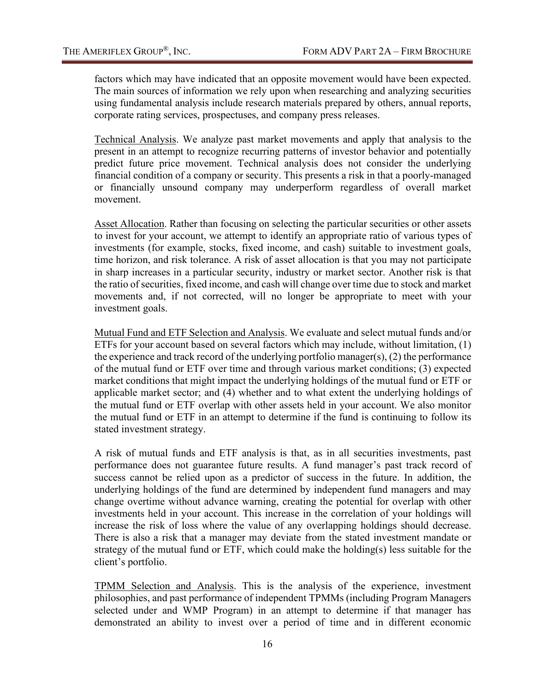factors which may have indicated that an opposite movement would have been expected. The main sources of information we rely upon when researching and analyzing securities using fundamental analysis include research materials prepared by others, annual reports, corporate rating services, prospectuses, and company press releases.

Technical Analysis. We analyze past market movements and apply that analysis to the present in an attempt to recognize recurring patterns of investor behavior and potentially predict future price movement. Technical analysis does not consider the underlying financial condition of a company or security. This presents a risk in that a poorly-managed or financially unsound company may underperform regardless of overall market movement.

Asset Allocation. Rather than focusing on selecting the particular securities or other assets to invest for your account, we attempt to identify an appropriate ratio of various types of investments (for example, stocks, fixed income, and cash) suitable to investment goals, time horizon, and risk tolerance. A risk of asset allocation is that you may not participate in sharp increases in a particular security, industry or market sector. Another risk is that the ratio of securities, fixed income, and cash will change over time due to stock and market movements and, if not corrected, will no longer be appropriate to meet with your investment goals.

Mutual Fund and ETF Selection and Analysis. We evaluate and select mutual funds and/or ETFs for your account based on several factors which may include, without limitation, (1) the experience and track record of the underlying portfolio manager(s), (2) the performance of the mutual fund or ETF over time and through various market conditions; (3) expected market conditions that might impact the underlying holdings of the mutual fund or ETF or applicable market sector; and (4) whether and to what extent the underlying holdings of the mutual fund or ETF overlap with other assets held in your account. We also monitor the mutual fund or ETF in an attempt to determine if the fund is continuing to follow its stated investment strategy.

A risk of mutual funds and ETF analysis is that, as in all securities investments, past performance does not guarantee future results. A fund manager's past track record of success cannot be relied upon as a predictor of success in the future. In addition, the underlying holdings of the fund are determined by independent fund managers and may change overtime without advance warning, creating the potential for overlap with other investments held in your account. This increase in the correlation of your holdings will increase the risk of loss where the value of any overlapping holdings should decrease. There is also a risk that a manager may deviate from the stated investment mandate or strategy of the mutual fund or ETF, which could make the holding(s) less suitable for the client's portfolio.

TPMM Selection and Analysis. This is the analysis of the experience, investment philosophies, and past performance of independent TPMMs (including Program Managers selected under and WMP Program) in an attempt to determine if that manager has demonstrated an ability to invest over a period of time and in different economic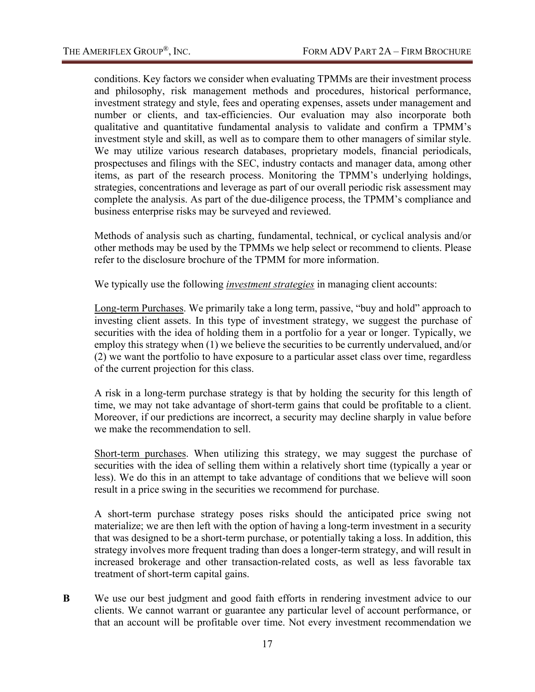conditions. Key factors we consider when evaluating TPMMs are their investment process and philosophy, risk management methods and procedures, historical performance, investment strategy and style, fees and operating expenses, assets under management and number or clients, and tax-efficiencies. Our evaluation may also incorporate both qualitative and quantitative fundamental analysis to validate and confirm a TPMM's investment style and skill, as well as to compare them to other managers of similar style. We may utilize various research databases, proprietary models, financial periodicals, prospectuses and filings with the SEC, industry contacts and manager data, among other items, as part of the research process. Monitoring the TPMM's underlying holdings, strategies, concentrations and leverage as part of our overall periodic risk assessment may complete the analysis. As part of the due-diligence process, the TPMM's compliance and business enterprise risks may be surveyed and reviewed.

Methods of analysis such as charting, fundamental, technical, or cyclical analysis and/or other methods may be used by the TPMMs we help select or recommend to clients. Please refer to the disclosure brochure of the TPMM for more information.

We typically use the following *investment strategies* in managing client accounts:

Long-term Purchases. We primarily take a long term, passive, "buy and hold" approach to investing client assets. In this type of investment strategy, we suggest the purchase of securities with the idea of holding them in a portfolio for a year or longer. Typically, we employ this strategy when (1) we believe the securities to be currently undervalued, and/or (2) we want the portfolio to have exposure to a particular asset class over time, regardless of the current projection for this class.

A risk in a long-term purchase strategy is that by holding the security for this length of time, we may not take advantage of short-term gains that could be profitable to a client. Moreover, if our predictions are incorrect, a security may decline sharply in value before we make the recommendation to sell.

Short-term purchases. When utilizing this strategy, we may suggest the purchase of securities with the idea of selling them within a relatively short time (typically a year or less). We do this in an attempt to take advantage of conditions that we believe will soon result in a price swing in the securities we recommend for purchase.

A short-term purchase strategy poses risks should the anticipated price swing not materialize; we are then left with the option of having a long-term investment in a security that was designed to be a short-term purchase, or potentially taking a loss. In addition, this strategy involves more frequent trading than does a longer-term strategy, and will result in increased brokerage and other transaction-related costs, as well as less favorable tax treatment of short-term capital gains.

**B** We use our best judgment and good faith efforts in rendering investment advice to our clients. We cannot warrant or guarantee any particular level of account performance, or that an account will be profitable over time. Not every investment recommendation we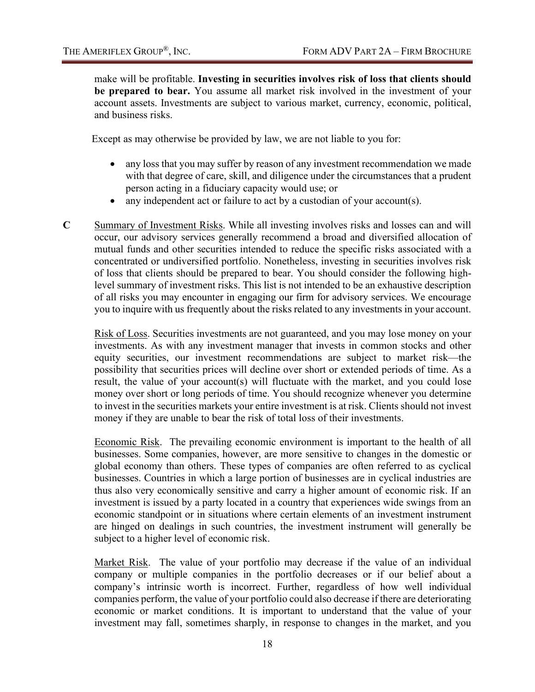make will be profitable. **Investing in securities involves risk of loss that clients should be prepared to bear.** You assume all market risk involved in the investment of your account assets. Investments are subject to various market, currency, economic, political, and business risks.

Except as may otherwise be provided by law, we are not liable to you for:

- any loss that you may suffer by reason of any investment recommendation we made with that degree of care, skill, and diligence under the circumstances that a prudent person acting in a fiduciary capacity would use; or
- any independent act or failure to act by a custodian of your account(s).
- **C** Summary of Investment Risks. While all investing involves risks and losses can and will occur, our advisory services generally recommend a broad and diversified allocation of mutual funds and other securities intended to reduce the specific risks associated with a concentrated or undiversified portfolio. Nonetheless, investing in securities involves risk of loss that clients should be prepared to bear. You should consider the following highlevel summary of investment risks. This list is not intended to be an exhaustive description of all risks you may encounter in engaging our firm for advisory services. We encourage you to inquire with us frequently about the risks related to any investments in your account.

Risk of Loss. Securities investments are not guaranteed, and you may lose money on your investments. As with any investment manager that invests in common stocks and other equity securities, our investment recommendations are subject to market risk—the possibility that securities prices will decline over short or extended periods of time. As a result, the value of your account(s) will fluctuate with the market, and you could lose money over short or long periods of time. You should recognize whenever you determine to invest in the securities markets your entire investment is at risk. Clients should not invest money if they are unable to bear the risk of total loss of their investments.

Economic Risk. The prevailing economic environment is important to the health of all businesses. Some companies, however, are more sensitive to changes in the domestic or global economy than others. These types of companies are often referred to as cyclical businesses. Countries in which a large portion of businesses are in cyclical industries are thus also very economically sensitive and carry a higher amount of economic risk. If an investment is issued by a party located in a country that experiences wide swings from an economic standpoint or in situations where certain elements of an investment instrument are hinged on dealings in such countries, the investment instrument will generally be subject to a higher level of economic risk.

Market Risk. The value of your portfolio may decrease if the value of an individual company or multiple companies in the portfolio decreases or if our belief about a company's intrinsic worth is incorrect. Further, regardless of how well individual companies perform, the value of your portfolio could also decrease if there are deteriorating economic or market conditions. It is important to understand that the value of your investment may fall, sometimes sharply, in response to changes in the market, and you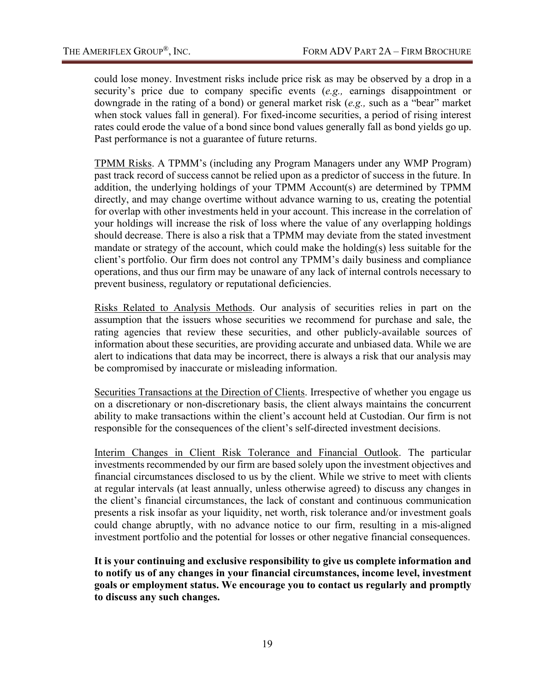could lose money. Investment risks include price risk as may be observed by a drop in a security's price due to company specific events (*e.g.,* earnings disappointment or downgrade in the rating of a bond) or general market risk (*e.g.,* such as a "bear" market when stock values fall in general). For fixed-income securities, a period of rising interest rates could erode the value of a bond since bond values generally fall as bond yields go up. Past performance is not a guarantee of future returns.

TPMM Risks. A TPMM's (including any Program Managers under any WMP Program) past track record of success cannot be relied upon as a predictor of success in the future. In addition, the underlying holdings of your TPMM Account(s) are determined by TPMM directly, and may change overtime without advance warning to us, creating the potential for overlap with other investments held in your account. This increase in the correlation of your holdings will increase the risk of loss where the value of any overlapping holdings should decrease. There is also a risk that a TPMM may deviate from the stated investment mandate or strategy of the account, which could make the holding(s) less suitable for the client's portfolio. Our firm does not control any TPMM's daily business and compliance operations, and thus our firm may be unaware of any lack of internal controls necessary to prevent business, regulatory or reputational deficiencies.

Risks Related to Analysis Methods. Our analysis of securities relies in part on the assumption that the issuers whose securities we recommend for purchase and sale, the rating agencies that review these securities, and other publicly-available sources of information about these securities, are providing accurate and unbiased data. While we are alert to indications that data may be incorrect, there is always a risk that our analysis may be compromised by inaccurate or misleading information.

Securities Transactions at the Direction of Clients. Irrespective of whether you engage us on a discretionary or non-discretionary basis, the client always maintains the concurrent ability to make transactions within the client's account held at Custodian. Our firm is not responsible for the consequences of the client's self-directed investment decisions.

Interim Changes in Client Risk Tolerance and Financial Outlook. The particular investments recommended by our firm are based solely upon the investment objectives and financial circumstances disclosed to us by the client. While we strive to meet with clients at regular intervals (at least annually, unless otherwise agreed) to discuss any changes in the client's financial circumstances, the lack of constant and continuous communication presents a risk insofar as your liquidity, net worth, risk tolerance and/or investment goals could change abruptly, with no advance notice to our firm, resulting in a mis-aligned investment portfolio and the potential for losses or other negative financial consequences.

**It is your continuing and exclusive responsibility to give us complete information and to notify us of any changes in your financial circumstances, income level, investment goals or employment status. We encourage you to contact us regularly and promptly to discuss any such changes.**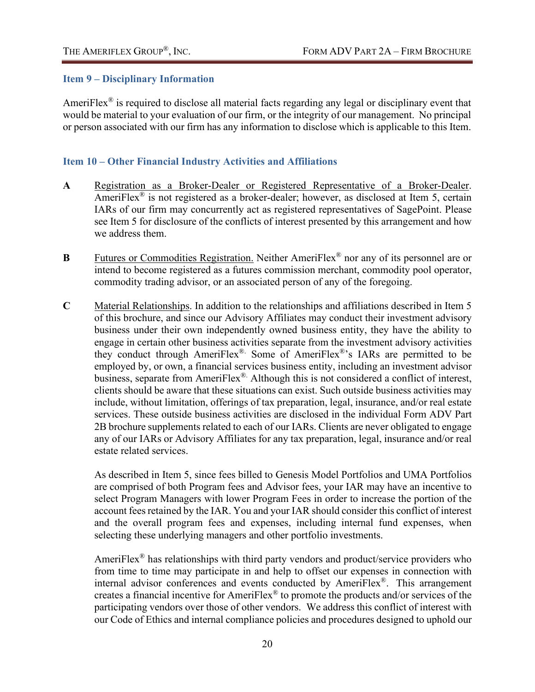## <span id="page-22-0"></span>**Item 9 – Disciplinary Information**

AmeriFlex<sup>®</sup> is required to disclose all material facts regarding any legal or disciplinary event that would be material to your evaluation of our firm, or the integrity of our management. No principal or person associated with our firm has any information to disclose which is applicable to this Item.

## <span id="page-22-1"></span>**Item 10 – Other Financial Industry Activities and Affiliations**

- **A** Registration as a Broker-Dealer or Registered Representative of a Broker-Dealer. AmeriFlex® is not registered as a broker-dealer; however, as disclosed at Item 5, certain IARs of our firm may concurrently act as registered representatives of SagePoint. Please see Item 5 for disclosure of the conflicts of interest presented by this arrangement and how we address them.
- **B** Futures or Commodities Registration. Neither AmeriFlex<sup>®</sup> nor any of its personnel are or intend to become registered as a futures commission merchant, commodity pool operator, commodity trading advisor, or an associated person of any of the foregoing.
- **C** Material Relationships. In addition to the relationships and affiliations described in Item 5 of this brochure, and since our Advisory Affiliates may conduct their investment advisory business under their own independently owned business entity, they have the ability to engage in certain other business activities separate from the investment advisory activities they conduct through AmeriFlex®. Some of AmeriFlex®'s IARs are permitted to be employed by, or own, a financial services business entity, including an investment advisor business, separate from AmeriFlex® Although this is not considered a conflict of interest, clients should be aware that these situations can exist. Such outside business activities may include, without limitation, offerings of tax preparation, legal, insurance, and/or real estate services. These outside business activities are disclosed in the individual Form ADV Part 2B brochure supplements related to each of our IARs. Clients are never obligated to engage any of our IARs or Advisory Affiliates for any tax preparation, legal, insurance and/or real estate related services.

As described in Item 5, since fees billed to Genesis Model Portfolios and UMA Portfolios are comprised of both Program fees and Advisor fees, your IAR may have an incentive to select Program Managers with lower Program Fees in order to increase the portion of the account fees retained by the IAR. You and your IAR should consider this conflict of interest and the overall program fees and expenses, including internal fund expenses, when selecting these underlying managers and other portfolio investments.

AmeriFlex<sup>®</sup> has relationships with third party vendors and product/service providers who from time to time may participate in and help to offset our expenses in connection with internal advisor conferences and events conducted by AmeriFlex®. This arrangement creates a financial incentive for AmeriFlex® to promote the products and/or services of the participating vendors over those of other vendors. We address this conflict of interest with our Code of Ethics and internal compliance policies and procedures designed to uphold our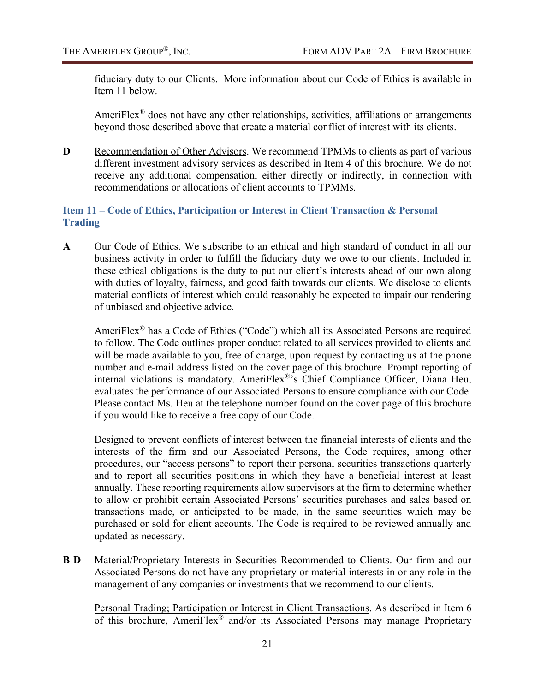fiduciary duty to our Clients. More information about our Code of Ethics is available in Item 11 below.

AmeriFlex® does not have any other relationships, activities, affiliations or arrangements beyond those described above that create a material conflict of interest with its clients.

**D** Recommendation of Other Advisors. We recommend TPMMs to clients as part of various different investment advisory services as described in Item 4 of this brochure. We do not receive any additional compensation, either directly or indirectly, in connection with recommendations or allocations of client accounts to TPMMs.

## <span id="page-23-0"></span>**Item 11 – Code of Ethics, Participation or Interest in Client Transaction & Personal Trading**

A Our Code of Ethics. We subscribe to an ethical and high standard of conduct in all our business activity in order to fulfill the fiduciary duty we owe to our clients. Included in these ethical obligations is the duty to put our client's interests ahead of our own along with duties of loyalty, fairness, and good faith towards our clients. We disclose to clients material conflicts of interest which could reasonably be expected to impair our rendering of unbiased and objective advice.

AmeriFlex® has a Code of Ethics ("Code") which all its Associated Persons are required to follow. The Code outlines proper conduct related to all services provided to clients and will be made available to you, free of charge, upon request by contacting us at the phone number and e-mail address listed on the cover page of this brochure. Prompt reporting of internal violations is mandatory. AmeriFlex®'s Chief Compliance Officer, Diana Heu, evaluates the performance of our Associated Persons to ensure compliance with our Code. Please contact Ms. Heu at the telephone number found on the cover page of this brochure if you would like to receive a free copy of our Code.

Designed to prevent conflicts of interest between the financial interests of clients and the interests of the firm and our Associated Persons, the Code requires, among other procedures, our "access persons" to report their personal securities transactions quarterly and to report all securities positions in which they have a beneficial interest at least annually. These reporting requirements allow supervisors at the firm to determine whether to allow or prohibit certain Associated Persons' securities purchases and sales based on transactions made, or anticipated to be made, in the same securities which may be purchased or sold for client accounts. The Code is required to be reviewed annually and updated as necessary.

**B**-**D** Material/Proprietary Interests in Securities Recommended to Clients. Our firm and our Associated Persons do not have any proprietary or material interests in or any role in the management of any companies or investments that we recommend to our clients.

Personal Trading; Participation or Interest in Client Transactions. As described in Item 6 of this brochure, AmeriFlex® and/or its Associated Persons may manage Proprietary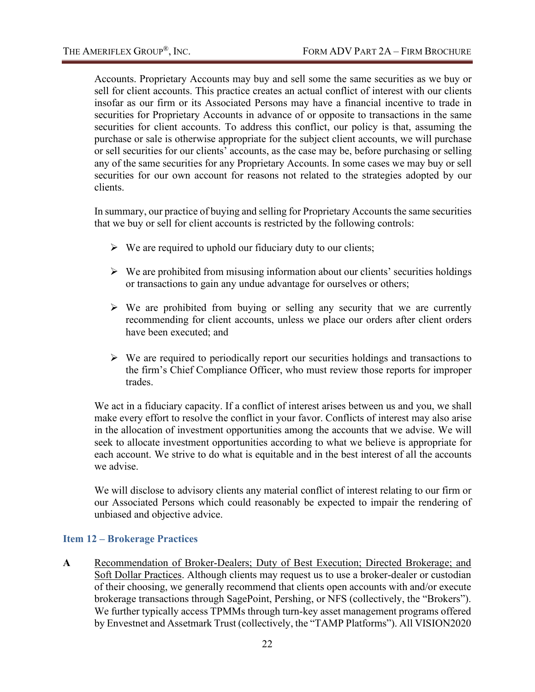Accounts. Proprietary Accounts may buy and sell some the same securities as we buy or sell for client accounts. This practice creates an actual conflict of interest with our clients insofar as our firm or its Associated Persons may have a financial incentive to trade in securities for Proprietary Accounts in advance of or opposite to transactions in the same securities for client accounts. To address this conflict, our policy is that, assuming the purchase or sale is otherwise appropriate for the subject client accounts, we will purchase or sell securities for our clients' accounts, as the case may be, before purchasing or selling any of the same securities for any Proprietary Accounts. In some cases we may buy or sell securities for our own account for reasons not related to the strategies adopted by our clients.

In summary, our practice of buying and selling for Proprietary Accounts the same securities that we buy or sell for client accounts is restricted by the following controls:

- $\triangleright$  We are required to uphold our fiduciary duty to our clients;
- $\triangleright$  We are prohibited from misusing information about our clients' securities holdings or transactions to gain any undue advantage for ourselves or others;
- $\triangleright$  We are prohibited from buying or selling any security that we are currently recommending for client accounts, unless we place our orders after client orders have been executed; and
- $\triangleright$  We are required to periodically report our securities holdings and transactions to the firm's Chief Compliance Officer, who must review those reports for improper trades.

We act in a fiduciary capacity. If a conflict of interest arises between us and you, we shall make every effort to resolve the conflict in your favor. Conflicts of interest may also arise in the allocation of investment opportunities among the accounts that we advise. We will seek to allocate investment opportunities according to what we believe is appropriate for each account. We strive to do what is equitable and in the best interest of all the accounts we advise.

We will disclose to advisory clients any material conflict of interest relating to our firm or our Associated Persons which could reasonably be expected to impair the rendering of unbiased and objective advice.

## <span id="page-24-0"></span>**Item 12 – Brokerage Practices**

**A** Recommendation of Broker-Dealers; Duty of Best Execution; Directed Brokerage; and Soft Dollar Practices. Although clients may request us to use a broker-dealer or custodian of their choosing, we generally recommend that clients open accounts with and/or execute brokerage transactions through SagePoint, Pershing, or NFS (collectively, the "Brokers"). We further typically access TPMMs through turn-key asset management programs offered by Envestnet and Assetmark Trust (collectively, the "TAMP Platforms"). All VISION2020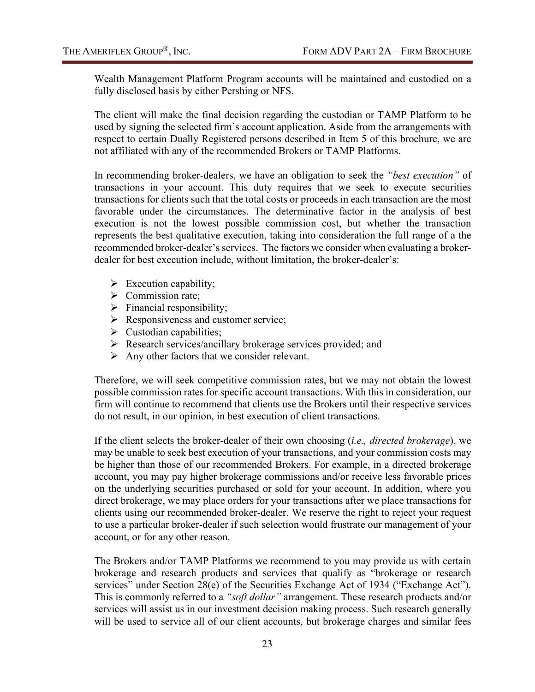Wealth Management Platform Program accounts will be maintained and custodied on a fully disclosed basis by either Pershing or NFS.

The client will make the final decision regarding the custodian or TAMP Platform to be used by signing the selected firm's account application. Aside from the arrangements with respect to certain Dually Registered persons described in Item 5 of this brochure, we are not affiliated with any of the recommended Brokers or TAMP Platforms.

In recommending broker-dealers, we have an obligation to seek the *"best execution"* of transactions in your account. This duty requires that we seek to execute securities transactions for clients such that the total costs or proceeds in each transaction are the most favorable under the circumstances. The determinative factor in the analysis of best execution is not the lowest possible commission cost, but whether the transaction represents the best qualitative execution, taking into consideration the full range of a the recommended broker-dealer's services. The factors we consider when evaluating a brokerdealer for best execution include, without limitation, the broker-dealer's:

- $\triangleright$  Execution capability;
- $\triangleright$  Commission rate;
- $\triangleright$  Financial responsibility;
- $\triangleright$  Responsiveness and customer service;
- $\triangleright$  Custodian capabilities;
- Research services/ancillary brokerage services provided; and
- $\triangleright$  Any other factors that we consider relevant.

Therefore, we will seek competitive commission rates, but we may not obtain the lowest possible commission rates for specific account transactions. With this in consideration, our firm will continue to recommend that clients use the Brokers until their respective services do not result, in our opinion, in best execution of client transactions.

If the client selects the broker-dealer of their own choosing (*i.e., directed brokerage*), we may be unable to seek best execution of your transactions, and your commission costs may be higher than those of our recommended Brokers. For example, in a directed brokerage account, you may pay higher brokerage commissions and/or receive less favorable prices on the underlying securities purchased or sold for your account. In addition, where you direct brokerage, we may place orders for your transactions after we place transactions for clients using our recommended broker-dealer. We reserve the right to reject your request to use a particular broker-dealer if such selection would frustrate our management of your account, or for any other reason.

The Brokers and/or TAMP Platforms we recommend to you may provide us with certain brokerage and research products and services that qualify as "brokerage or research services" under Section 28(e) of the Securities Exchange Act of 1934 ("Exchange Act"). This is commonly referred to a *"soft dollar"* arrangement. These research products and/or services will assist us in our investment decision making process. Such research generally will be used to service all of our client accounts, but brokerage charges and similar fees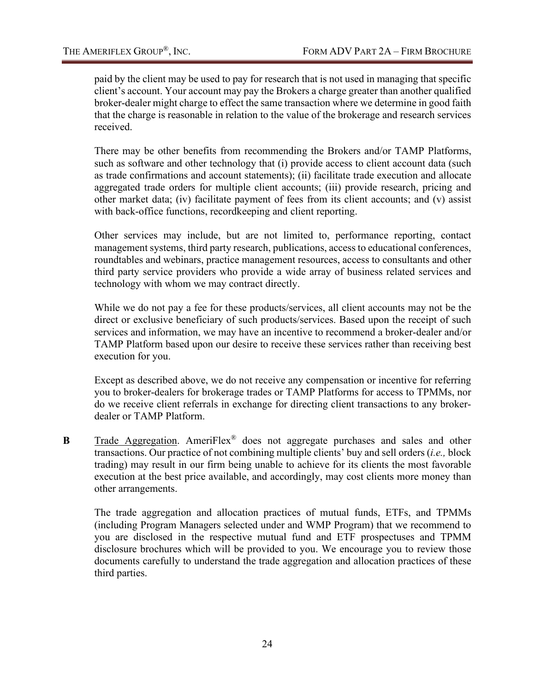paid by the client may be used to pay for research that is not used in managing that specific client's account. Your account may pay the Brokers a charge greater than another qualified broker-dealer might charge to effect the same transaction where we determine in good faith that the charge is reasonable in relation to the value of the brokerage and research services received.

There may be other benefits from recommending the Brokers and/or TAMP Platforms, such as software and other technology that (i) provide access to client account data (such as trade confirmations and account statements); (ii) facilitate trade execution and allocate aggregated trade orders for multiple client accounts; (iii) provide research, pricing and other market data; (iv) facilitate payment of fees from its client accounts; and (v) assist with back-office functions, recordkeeping and client reporting.

Other services may include, but are not limited to, performance reporting, contact management systems, third party research, publications, access to educational conferences, roundtables and webinars, practice management resources, access to consultants and other third party service providers who provide a wide array of business related services and technology with whom we may contract directly.

While we do not pay a fee for these products/services, all client accounts may not be the direct or exclusive beneficiary of such products/services. Based upon the receipt of such services and information, we may have an incentive to recommend a broker-dealer and/or TAMP Platform based upon our desire to receive these services rather than receiving best execution for you.

Except as described above, we do not receive any compensation or incentive for referring you to broker-dealers for brokerage trades or TAMP Platforms for access to TPMMs, nor do we receive client referrals in exchange for directing client transactions to any brokerdealer or TAMP Platform.

**B** Trade Aggregation. AmeriFlex<sup>®</sup> does not aggregate purchases and sales and other transactions. Our practice of not combining multiple clients' buy and sell orders (*i.e.,* block trading) may result in our firm being unable to achieve for its clients the most favorable execution at the best price available, and accordingly, may cost clients more money than other arrangements.

The trade aggregation and allocation practices of mutual funds, ETFs, and TPMMs (including Program Managers selected under and WMP Program) that we recommend to you are disclosed in the respective mutual fund and ETF prospectuses and TPMM disclosure brochures which will be provided to you. We encourage you to review those documents carefully to understand the trade aggregation and allocation practices of these third parties.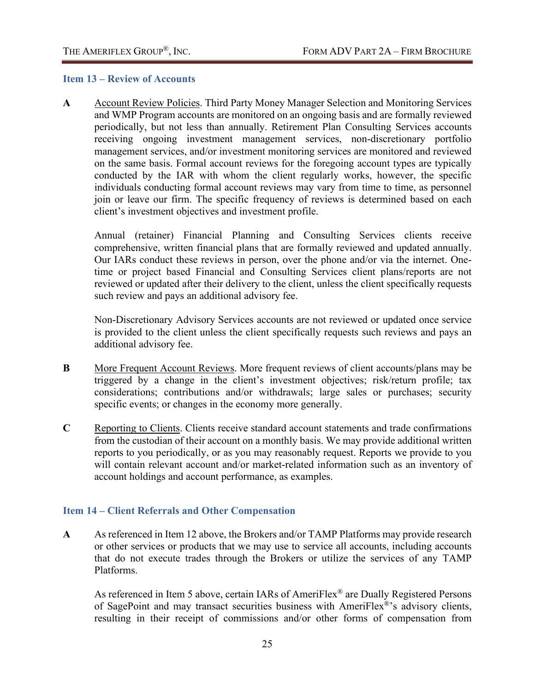#### <span id="page-27-0"></span>**Item 13 – Review of Accounts**

**A** Account Review Policies. Third Party Money Manager Selection and Monitoring Services and WMP Program accounts are monitored on an ongoing basis and are formally reviewed periodically, but not less than annually. Retirement Plan Consulting Services accounts receiving ongoing investment management services, non-discretionary portfolio management services, and/or investment monitoring services are monitored and reviewed on the same basis. Formal account reviews for the foregoing account types are typically conducted by the IAR with whom the client regularly works, however, the specific individuals conducting formal account reviews may vary from time to time, as personnel join or leave our firm. The specific frequency of reviews is determined based on each client's investment objectives and investment profile.

Annual (retainer) Financial Planning and Consulting Services clients receive comprehensive, written financial plans that are formally reviewed and updated annually. Our IARs conduct these reviews in person, over the phone and/or via the internet. Onetime or project based Financial and Consulting Services client plans/reports are not reviewed or updated after their delivery to the client, unless the client specifically requests such review and pays an additional advisory fee.

Non-Discretionary Advisory Services accounts are not reviewed or updated once service is provided to the client unless the client specifically requests such reviews and pays an additional advisory fee.

- **B** More Frequent Account Reviews. More frequent reviews of client accounts/plans may be triggered by a change in the client's investment objectives; risk/return profile; tax considerations; contributions and/or withdrawals; large sales or purchases; security specific events; or changes in the economy more generally.
- **C** Reporting to Clients. Clients receive standard account statements and trade confirmations from the custodian of their account on a monthly basis. We may provide additional written reports to you periodically, or as you may reasonably request. Reports we provide to you will contain relevant account and/or market-related information such as an inventory of account holdings and account performance, as examples.

## <span id="page-27-1"></span>**Item 14 – Client Referrals and Other Compensation**

**A** As referenced in Item 12 above, the Brokers and/or TAMP Platforms may provide research or other services or products that we may use to service all accounts, including accounts that do not execute trades through the Brokers or utilize the services of any TAMP Platforms.

As referenced in Item 5 above, certain IARs of AmeriFlex® are Dually Registered Persons of SagePoint and may transact securities business with AmeriFlex®'s advisory clients, resulting in their receipt of commissions and/or other forms of compensation from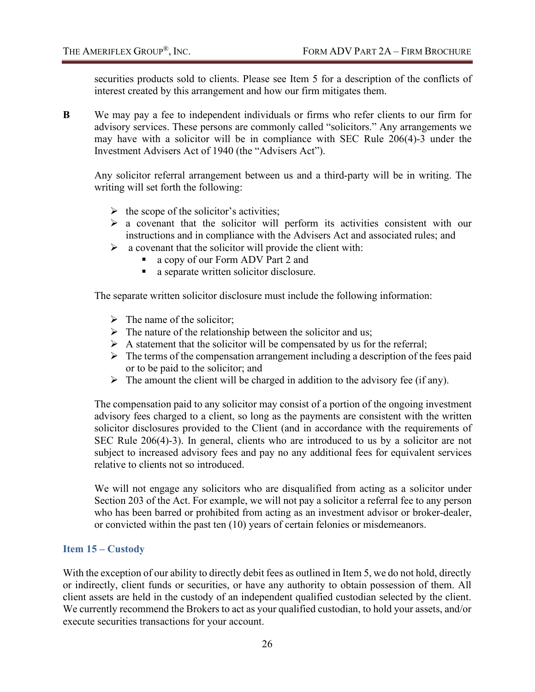securities products sold to clients. Please see Item 5 for a description of the conflicts of interest created by this arrangement and how our firm mitigates them.

**B** We may pay a fee to independent individuals or firms who refer clients to our firm for advisory services. These persons are commonly called "solicitors." Any arrangements we may have with a solicitor will be in compliance with SEC Rule 206(4)-3 under the Investment Advisers Act of 1940 (the "Advisers Act").

Any solicitor referral arrangement between us and a third-party will be in writing. The writing will set forth the following:

- $\triangleright$  the scope of the solicitor's activities;
- $\triangleright$  a covenant that the solicitor will perform its activities consistent with our instructions and in compliance with the Advisers Act and associated rules; and
- $\triangleright$  a covenant that the solicitor will provide the client with:
	- a copy of our Form ADV Part 2 and
	- a separate written solicitor disclosure.

The separate written solicitor disclosure must include the following information:

- $\triangleright$  The name of the solicitor;
- $\triangleright$  The nature of the relationship between the solicitor and us;
- $\triangleright$  A statement that the solicitor will be compensated by us for the referral;
- $\triangleright$  The terms of the compensation arrangement including a description of the fees paid or to be paid to the solicitor; and
- $\triangleright$  The amount the client will be charged in addition to the advisory fee (if any).

The compensation paid to any solicitor may consist of a portion of the ongoing investment advisory fees charged to a client, so long as the payments are consistent with the written solicitor disclosures provided to the Client (and in accordance with the requirements of SEC Rule 206(4)-3). In general, clients who are introduced to us by a solicitor are not subject to increased advisory fees and pay no any additional fees for equivalent services relative to clients not so introduced.

We will not engage any solicitors who are disqualified from acting as a solicitor under Section 203 of the Act. For example, we will not pay a solicitor a referral fee to any person who has been barred or prohibited from acting as an investment advisor or broker-dealer, or convicted within the past ten (10) years of certain felonies or misdemeanors.

#### <span id="page-28-0"></span>**Item 15 – Custody**

With the exception of our ability to directly debit fees as outlined in Item 5, we do not hold, directly or indirectly, client funds or securities, or have any authority to obtain possession of them. All client assets are held in the custody of an independent qualified custodian selected by the client. We currently recommend the Brokers to act as your qualified custodian, to hold your assets, and/or execute securities transactions for your account.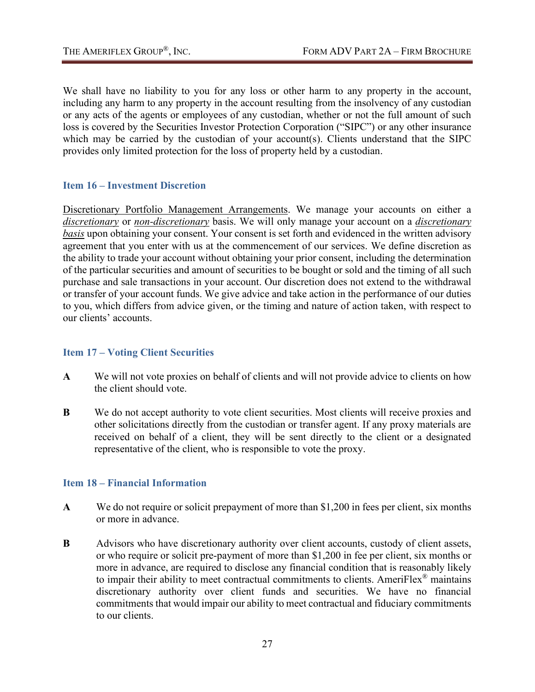We shall have no liability to you for any loss or other harm to any property in the account, including any harm to any property in the account resulting from the insolvency of any custodian or any acts of the agents or employees of any custodian, whether or not the full amount of such loss is covered by the Securities Investor Protection Corporation ("SIPC") or any other insurance which may be carried by the custodian of your account(s). Clients understand that the SIPC provides only limited protection for the loss of property held by a custodian.

## <span id="page-29-0"></span>**Item 16 – Investment Discretion**

Discretionary Portfolio Management Arrangements. We manage your accounts on either a *discretionary* or *non-discretionary* basis. We will only manage your account on a *discretionary basis* upon obtaining your consent. Your consent is set forth and evidenced in the written advisory agreement that you enter with us at the commencement of our services. We define discretion as the ability to trade your account without obtaining your prior consent, including the determination of the particular securities and amount of securities to be bought or sold and the timing of all such purchase and sale transactions in your account. Our discretion does not extend to the withdrawal or transfer of your account funds. We give advice and take action in the performance of our duties to you, which differs from advice given, or the timing and nature of action taken, with respect to our clients' accounts.

## <span id="page-29-1"></span>**Item 17 – Voting Client Securities**

- **A** We will not vote proxies on behalf of clients and will not provide advice to clients on how the client should vote.
- **B** We do not accept authority to vote client securities. Most clients will receive proxies and other solicitations directly from the custodian or transfer agent. If any proxy materials are received on behalf of a client, they will be sent directly to the client or a designated representative of the client, who is responsible to vote the proxy.

## <span id="page-29-2"></span>**Item 18 – Financial Information**

- **A** We do not require or solicit prepayment of more than \$1,200 in fees per client, six months or more in advance.
- **B** Advisors who have discretionary authority over client accounts, custody of client assets, or who require or solicit pre-payment of more than \$1,200 in fee per client, six months or more in advance, are required to disclose any financial condition that is reasonably likely to impair their ability to meet contractual commitments to clients. AmeriFlex<sup>®</sup> maintains discretionary authority over client funds and securities. We have no financial commitments that would impair our ability to meet contractual and fiduciary commitments to our clients.